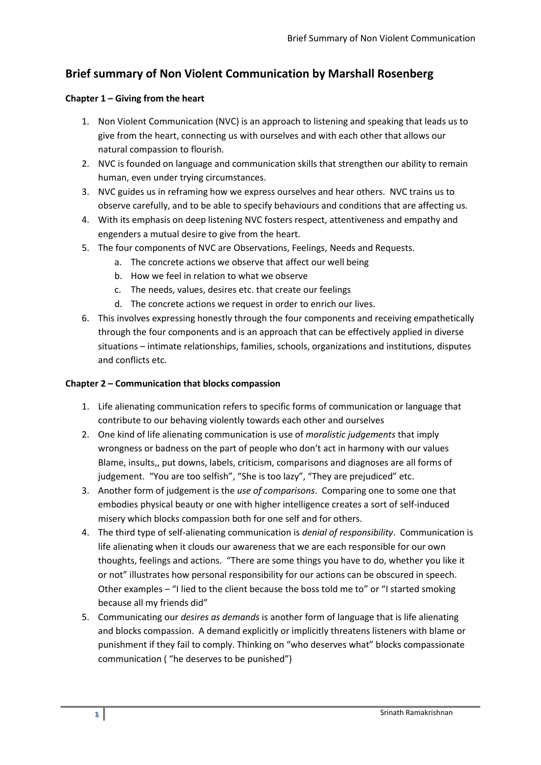# **Brief summary of Non Violent Communication by Marshall Rosenberg**

### **Chapter 1 – Giving from the heart**

- 1. Non Violent Communication (NVC) is an approach to listening and speaking that leads us to give from the heart, connecting us with ourselves and with each other that allows our natural compassion to flourish.
- 2. NVC is founded on language and communication skills that strengthen our ability to remain human, even under trying circumstances.
- 3. NVC guides us in reframing how we express ourselves and hear others. NVC trains us to observe carefully, and to be able to specify behaviours and conditions that are affecting us.
- 4. With its emphasis on deep listening NVC fosters respect, attentiveness and empathy and engenders a mutual desire to give from the heart.
- 5. The four components of NVC are Observations, Feelings, Needs and Requests.
	- a. The concrete actions we observe that affect our well being
	- b. How we feel in relation to what we observe
	- c. The needs, values, desires etc. that create our feelings
	- d. The concrete actions we request in order to enrich our lives.
- 6. This involves expressing honestly through the four components and receiving empathetically through the four components and is an approach that can be effectively applied in diverse situations – intimate relationships, families, schools, organizations and institutions, disputes and conflicts etc.

### **Chapter 2 – Communication that blocks compassion**

- 1. Life alienating communication refers to specific forms of communication or language that contribute to our behaving violently towards each other and ourselves
- 2. One kind of life alienating communication is use of *moralistic judgements* that imply wrongness or badness on the part of people who don't act in harmony with our values Blame, insults,, put downs, labels, criticism, comparisons and diagnoses are all forms of judgement. "You are too selfish", "She is too lazy", "They are prejudiced" etc.
- 3. Another form of judgement is the *use of comparisons*. Comparing one to some one that embodies physical beauty or one with higher intelligence creates a sort of self-induced misery which blocks compassion both for one self and for others.
- 4. The third type of self-alienating communication is *denial of responsibility*. Communication is life alienating when it clouds our awareness that we are each responsible for our own thoughts, feelings and actions. "There are some things you have to do, whether you like it or not" illustrates how personal responsibility for our actions can be obscured in speech. Other examples – "I lied to the client because the boss told me to" or "I started smoking because all my friends did"
- 5. Communicating our *desires as demands* is another form of language that is life alienating and blocks compassion. A demand explicitly or implicitly threatens listeners with blame or punishment if they fail to comply. Thinking on "who deserves what" blocks compassionate communication ( "he deserves to be punished")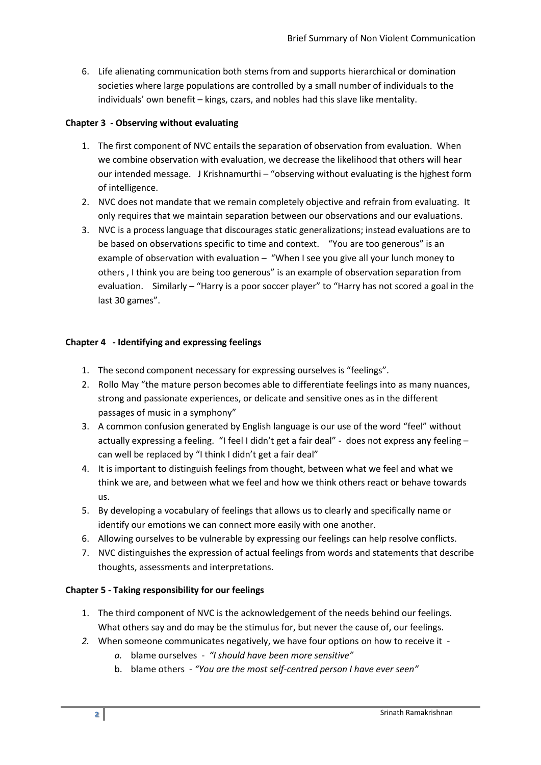6. Life alienating communication both stems from and supports hierarchical or domination societies where large populations are controlled by a small number of individuals to the individuals' own benefit – kings, czars, and nobles had this slave like mentality.

#### **Chapter 3 - Observing without evaluating**

- 1. The first component of NVC entails the separation of observation from evaluation. When we combine observation with evaluation, we decrease the likelihood that others will hear our intended message. J Krishnamurthi – "observing without evaluating is the highest form of intelligence.
- 2. NVC does not mandate that we remain completely objective and refrain from evaluating. It only requires that we maintain separation between our observations and our evaluations.
- 3. NVC is a process language that discourages static generalizations; instead evaluations are to be based on observations specific to time and context. "You are too generous" is an example of observation with evaluation – "When I see you give all your lunch money to others , I think you are being too generous" is an example of observation separation from evaluation. Similarly – "Harry is a poor soccer player" to "Harry has not scored a goal in the last 30 games".

#### **Chapter 4 - Identifying and expressing feelings**

- 1. The second component necessary for expressing ourselves is "feelings".
- 2. Rollo May "the mature person becomes able to differentiate feelings into as many nuances, strong and passionate experiences, or delicate and sensitive ones as in the different passages of music in a symphony"
- 3. A common confusion generated by English language is our use of the word "feel" without actually expressing a feeling. "I feel I didn't get a fair deal" - does not express any feeling – can well be replaced by "I think I didn't get a fair deal"
- 4. It is important to distinguish feelings from thought, between what we feel and what we think we are, and between what we feel and how we think others react or behave towards us.
- 5. By developing a vocabulary of feelings that allows us to clearly and specifically name or identify our emotions we can connect more easily with one another.
- 6. Allowing ourselves to be vulnerable by expressing our feelings can help resolve conflicts.
- 7. NVC distinguishes the expression of actual feelings from words and statements that describe thoughts, assessments and interpretations.

### **Chapter 5 - Taking responsibility for our feelings**

- 1. The third component of NVC is the acknowledgement of the needs behind our feelings. What others say and do may be the stimulus for, but never the cause of, our feelings.
- *2.* When someone communicates negatively, we have four options on how to receive it 
	- *a.* blame ourselves *- "I should have been more sensitive"*
	- b. blame others *"You are the most self-centred person I have ever seen"*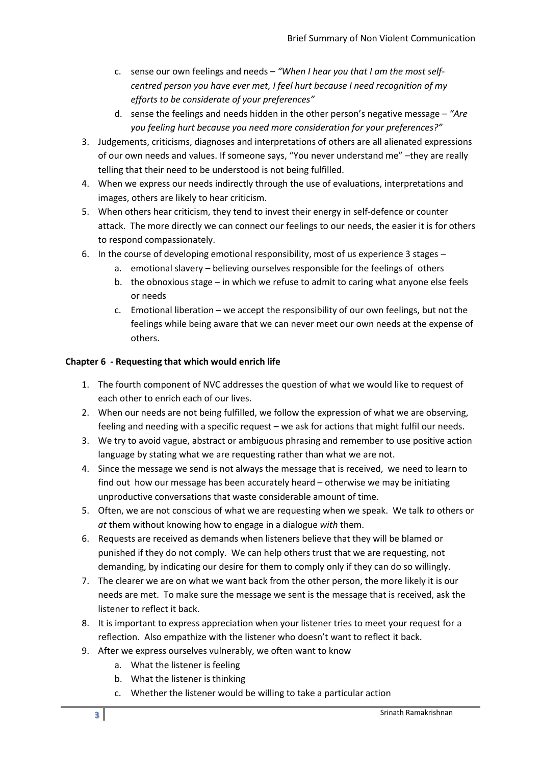- c. sense our own feelings and needs *"When I hear you that I am the most selfcentred person you have ever met, I feel hurt because I need recognition of my efforts to be considerate of your preferences"*
- d. sense the feelings and needs hidden in the other person's negative message *"Are you feeling hurt because you need more consideration for your preferences?"*
- 3. Judgements, criticisms, diagnoses and interpretations of others are all alienated expressions of our own needs and values. If someone says, "You never understand me" –they are really telling that their need to be understood is not being fulfilled.
- 4. When we express our needs indirectly through the use of evaluations, interpretations and images, others are likely to hear criticism.
- 5. When others hear criticism, they tend to invest their energy in self-defence or counter attack. The more directly we can connect our feelings to our needs, the easier it is for others to respond compassionately.
- 6. In the course of developing emotional responsibility, most of us experience 3 stages
	- a. emotional slavery believing ourselves responsible for the feelings of others
	- b. the obnoxious stage in which we refuse to admit to caring what anyone else feels or needs
	- c. Emotional liberation we accept the responsibility of our own feelings, but not the feelings while being aware that we can never meet our own needs at the expense of others.

# **Chapter 6 - Requesting that which would enrich life**

- 1. The fourth component of NVC addresses the question of what we would like to request of each other to enrich each of our lives.
- 2. When our needs are not being fulfilled, we follow the expression of what we are observing, feeling and needing with a specific request – we ask for actions that might fulfil our needs.
- 3. We try to avoid vague, abstract or ambiguous phrasing and remember to use positive action language by stating what we are requesting rather than what we are not.
- 4. Since the message we send is not always the message that is received, we need to learn to find out how our message has been accurately heard – otherwise we may be initiating unproductive conversations that waste considerable amount of time.
- 5. Often, we are not conscious of what we are requesting when we speak. We talk *to* others or *at* them without knowing how to engage in a dialogue *with* them.
- 6. Requests are received as demands when listeners believe that they will be blamed or punished if they do not comply. We can help others trust that we are requesting, not demanding, by indicating our desire for them to comply only if they can do so willingly.
- 7. The clearer we are on what we want back from the other person, the more likely it is our needs are met. To make sure the message we sent is the message that is received, ask the listener to reflect it back.
- 8. It is important to express appreciation when your listener tries to meet your request for a reflection. Also empathize with the listener who doesn't want to reflect it back.
- 9. After we express ourselves vulnerably, we often want to know
	- a. What the listener is feeling
	- b. What the listener is thinking
	- c. Whether the listener would be willing to take a particular action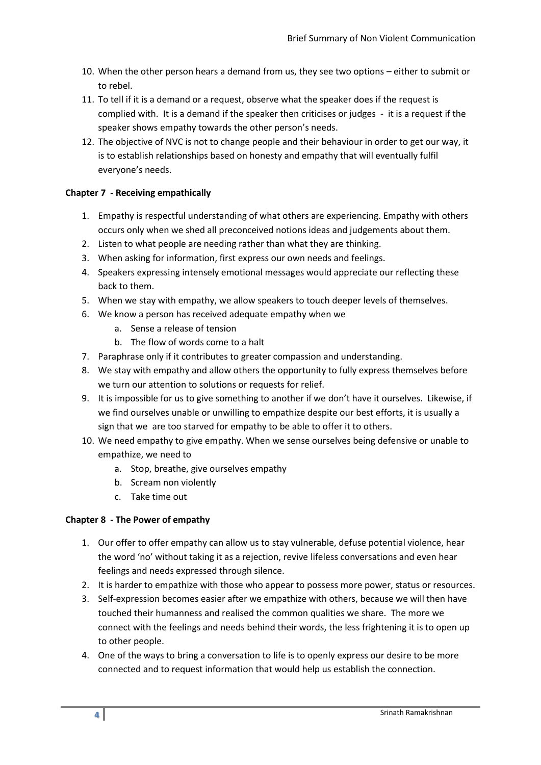- 10. When the other person hears a demand from us, they see two options either to submit or to rebel.
- 11. To tell if it is a demand or a request, observe what the speaker does if the request is complied with. It is a demand if the speaker then criticises or judges - it is a request if the speaker shows empathy towards the other person's needs.
- 12. The objective of NVC is not to change people and their behaviour in order to get our way, it is to establish relationships based on honesty and empathy that will eventually fulfil everyone's needs.

# **Chapter 7 - Receiving empathically**

- 1. Empathy is respectful understanding of what others are experiencing. Empathy with others occurs only when we shed all preconceived notions ideas and judgements about them.
- 2. Listen to what people are needing rather than what they are thinking.
- 3. When asking for information, first express our own needs and feelings.
- 4. Speakers expressing intensely emotional messages would appreciate our reflecting these back to them.
- 5. When we stay with empathy, we allow speakers to touch deeper levels of themselves.
- 6. We know a person has received adequate empathy when we
	- a. Sense a release of tension
	- b. The flow of words come to a halt
- 7. Paraphrase only if it contributes to greater compassion and understanding.
- 8. We stay with empathy and allow others the opportunity to fully express themselves before we turn our attention to solutions or requests for relief.
- 9. It is impossible for us to give something to another if we don't have it ourselves. Likewise, if we find ourselves unable or unwilling to empathize despite our best efforts, it is usually a sign that we are too starved for empathy to be able to offer it to others.
- 10. We need empathy to give empathy. When we sense ourselves being defensive or unable to empathize, we need to
	- a. Stop, breathe, give ourselves empathy
	- b. Scream non violently
	- c. Take time out

# **Chapter 8 - The Power of empathy**

- 1. Our offer to offer empathy can allow us to stay vulnerable, defuse potential violence, hear the word 'no' without taking it as a rejection, revive lifeless conversations and even hear feelings and needs expressed through silence.
- 2. It is harder to empathize with those who appear to possess more power, status or resources.
- 3. Self-expression becomes easier after we empathize with others, because we will then have touched their humanness and realised the common qualities we share. The more we connect with the feelings and needs behind their words, the less frightening it is to open up to other people.
- 4. One of the ways to bring a conversation to life is to openly express our desire to be more connected and to request information that would help us establish the connection.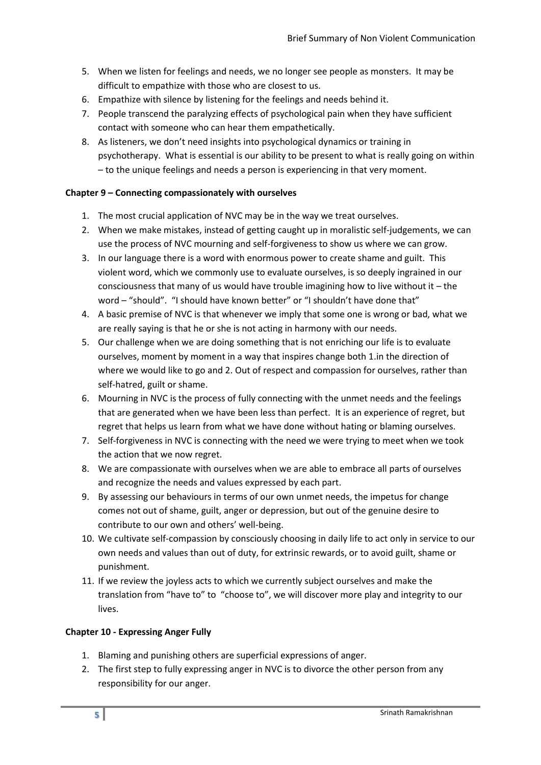- 5. When we listen for feelings and needs, we no longer see people as monsters. It may be difficult to empathize with those who are closest to us.
- 6. Empathize with silence by listening for the feelings and needs behind it.
- 7. People transcend the paralyzing effects of psychological pain when they have sufficient contact with someone who can hear them empathetically.
- 8. As listeners, we don't need insights into psychological dynamics or training in psychotherapy. What is essential is our ability to be present to what is really going on within – to the unique feelings and needs a person is experiencing in that very moment.

## **Chapter 9 – Connecting compassionately with ourselves**

- 1. The most crucial application of NVC may be in the way we treat ourselves.
- 2. When we make mistakes, instead of getting caught up in moralistic self-judgements, we can use the process of NVC mourning and self-forgiveness to show us where we can grow.
- 3. In our language there is a word with enormous power to create shame and guilt. This violent word, which we commonly use to evaluate ourselves, is so deeply ingrained in our consciousness that many of us would have trouble imagining how to live without it – the word – "should". "I should have known better" or "I shouldn't have done that"
- 4. A basic premise of NVC is that whenever we imply that some one is wrong or bad, what we are really saying is that he or she is not acting in harmony with our needs.
- 5. Our challenge when we are doing something that is not enriching our life is to evaluate ourselves, moment by moment in a way that inspires change both 1.in the direction of where we would like to go and 2. Out of respect and compassion for ourselves, rather than self-hatred, guilt or shame.
- 6. Mourning in NVC is the process of fully connecting with the unmet needs and the feelings that are generated when we have been less than perfect. It is an experience of regret, but regret that helps us learn from what we have done without hating or blaming ourselves.
- 7. Self-forgiveness in NVC is connecting with the need we were trying to meet when we took the action that we now regret.
- 8. We are compassionate with ourselves when we are able to embrace all parts of ourselves and recognize the needs and values expressed by each part.
- 9. By assessing our behaviours in terms of our own unmet needs, the impetus for change comes not out of shame, guilt, anger or depression, but out of the genuine desire to contribute to our own and others' well-being.
- 10. We cultivate self-compassion by consciously choosing in daily life to act only in service to our own needs and values than out of duty, for extrinsic rewards, or to avoid guilt, shame or punishment.
- 11. If we review the joyless acts to which we currently subject ourselves and make the translation from "have to" to "choose to", we will discover more play and integrity to our lives.

### **Chapter 10 - Expressing Anger Fully**

- 1. Blaming and punishing others are superficial expressions of anger.
- 2. The first step to fully expressing anger in NVC is to divorce the other person from any responsibility for our anger.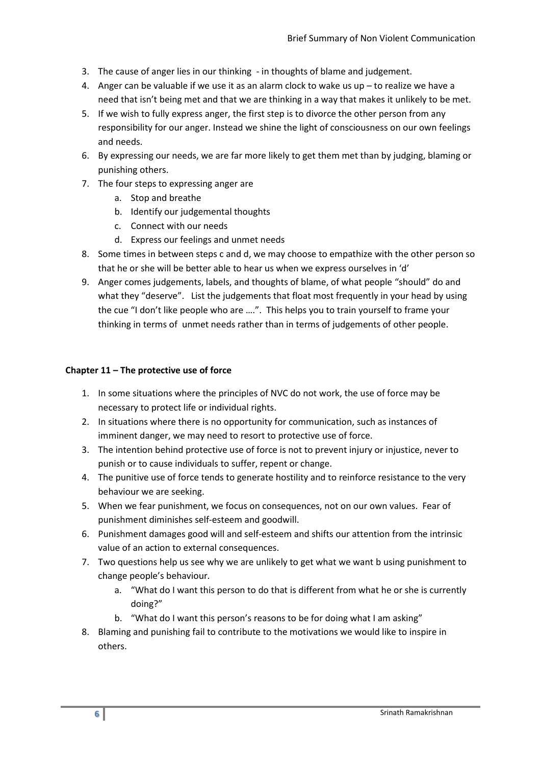- 3. The cause of anger lies in our thinking in thoughts of blame and judgement.
- 4. Anger can be valuable if we use it as an alarm clock to wake us up to realize we have a need that isn't being met and that we are thinking in a way that makes it unlikely to be met.
- 5. If we wish to fully express anger, the first step is to divorce the other person from any responsibility for our anger. Instead we shine the light of consciousness on our own feelings and needs.
- 6. By expressing our needs, we are far more likely to get them met than by judging, blaming or punishing others.
- 7. The four steps to expressing anger are
	- a. Stop and breathe
	- b. Identify our judgemental thoughts
	- c. Connect with our needs
	- d. Express our feelings and unmet needs
- 8. Some times in between steps c and d, we may choose to empathize with the other person so that he or she will be better able to hear us when we express ourselves in 'd'
- 9. Anger comes judgements, labels, and thoughts of blame, of what people "should" do and what they "deserve". List the judgements that float most frequently in your head by using the cue "I don't like people who are ….". This helps you to train yourself to frame your thinking in terms of unmet needs rather than in terms of judgements of other people.

#### **Chapter 11 – The protective use of force**

- 1. In some situations where the principles of NVC do not work, the use of force may be necessary to protect life or individual rights.
- 2. In situations where there is no opportunity for communication, such as instances of imminent danger, we may need to resort to protective use of force.
- 3. The intention behind protective use of force is not to prevent injury or injustice, never to punish or to cause individuals to suffer, repent or change.
- 4. The punitive use of force tends to generate hostility and to reinforce resistance to the very behaviour we are seeking.
- 5. When we fear punishment, we focus on consequences, not on our own values. Fear of punishment diminishes self-esteem and goodwill.
- 6. Punishment damages good will and self-esteem and shifts our attention from the intrinsic value of an action to external consequences.
- 7. Two questions help us see why we are unlikely to get what we want b using punishment to change people's behaviour.
	- a. "What do I want this person to do that is different from what he or she is currently doing?"
	- b. "What do I want this person's reasons to be for doing what I am asking"
- 8. Blaming and punishing fail to contribute to the motivations we would like to inspire in others.